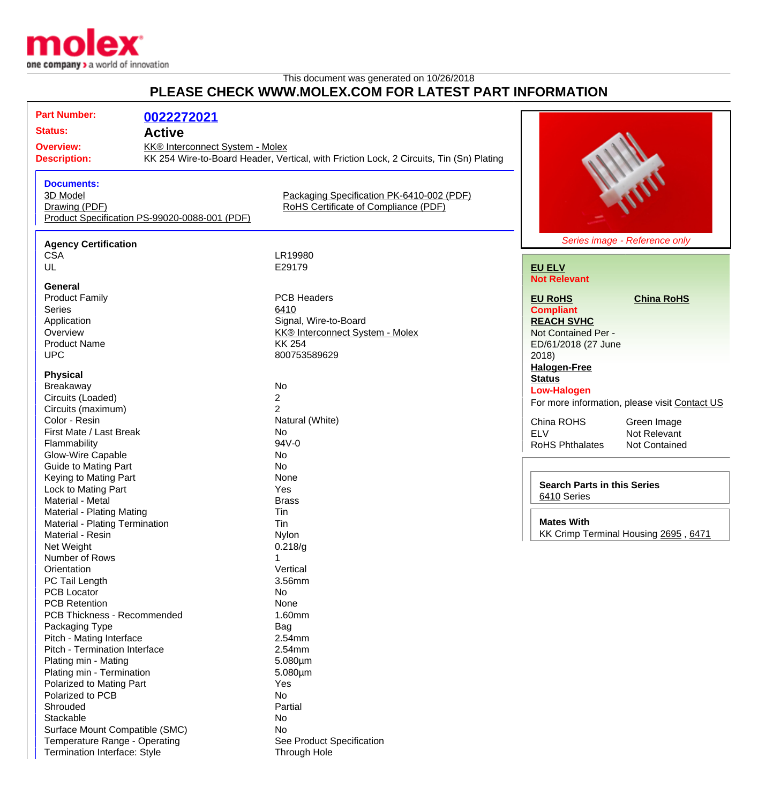

## This document was generated on 10/26/2018 **PLEASE CHECK WWW.MOLEX.COM FOR LATEST PART INFORMATION**

| <b>Part Number:</b>                       | 0022272021                                                                              |                                           |                        |                                        |  |
|-------------------------------------------|-----------------------------------------------------------------------------------------|-------------------------------------------|------------------------|----------------------------------------|--|
| <b>Status:</b>                            | <b>Active</b>                                                                           |                                           |                        |                                        |  |
| <b>Overview:</b>                          | KK® Interconnect System - Molex                                                         |                                           |                        |                                        |  |
| <b>Description:</b>                       | KK 254 Wire-to-Board Header, Vertical, with Friction Lock, 2 Circuits, Tin (Sn) Plating |                                           |                        |                                        |  |
|                                           |                                                                                         |                                           |                        |                                        |  |
| <b>Documents:</b>                         |                                                                                         |                                           |                        |                                        |  |
| 3D Model                                  |                                                                                         | Packaging Specification PK-6410-002 (PDF) |                        |                                        |  |
| Drawing (PDF)                             |                                                                                         | RoHS Certificate of Compliance (PDF)      |                        |                                        |  |
|                                           | Product Specification PS-99020-0088-001 (PDF)                                           |                                           |                        |                                        |  |
|                                           |                                                                                         |                                           |                        | Series image - Reference only          |  |
| <b>Agency Certification</b><br><b>CSA</b> |                                                                                         | LR19980                                   |                        |                                        |  |
| UL                                        |                                                                                         | E29179                                    |                        |                                        |  |
|                                           |                                                                                         |                                           | <b>EU ELV</b>          |                                        |  |
| General                                   |                                                                                         |                                           | <b>Not Relevant</b>    |                                        |  |
| <b>Product Family</b>                     |                                                                                         | <b>PCB Headers</b>                        | <b>EU RoHS</b>         | <b>China RoHS</b>                      |  |
| <b>Series</b>                             |                                                                                         | 6410                                      | <b>Compliant</b>       |                                        |  |
| Application                               |                                                                                         | Signal, Wire-to-Board                     | <b>REACH SVHC</b>      |                                        |  |
| Overview                                  |                                                                                         | KK® Interconnect System - Molex           |                        | Not Contained Per -                    |  |
| <b>Product Name</b>                       |                                                                                         | <b>KK 254</b>                             | ED/61/2018 (27 June    |                                        |  |
| <b>UPC</b>                                |                                                                                         | 800753589629                              | 2018                   |                                        |  |
|                                           |                                                                                         |                                           | <b>Halogen-Free</b>    |                                        |  |
| <b>Physical</b>                           |                                                                                         |                                           | <b>Status</b>          |                                        |  |
| Breakaway                                 |                                                                                         | No                                        | <b>Low-Halogen</b>     |                                        |  |
| Circuits (Loaded)                         |                                                                                         | $\overline{c}$                            |                        |                                        |  |
| Circuits (maximum)                        |                                                                                         | $\overline{2}$                            |                        | For more information, please visit Cor |  |
| Color - Resin                             |                                                                                         | Natural (White)                           | China ROHS             | Green Image                            |  |
| First Mate / Last Break                   |                                                                                         | <b>No</b>                                 | <b>ELV</b>             | Not Relevant                           |  |
| Flammability                              |                                                                                         | 94V-0                                     | <b>RoHS Phthalates</b> | Not Contained                          |  |
| Glow-Wire Capable                         |                                                                                         | No                                        |                        |                                        |  |
| <b>Guide to Mating Part</b>               |                                                                                         | No                                        |                        |                                        |  |
| Keying to Mating Part                     |                                                                                         | None                                      |                        |                                        |  |
| Lock to Mating Part                       |                                                                                         | Yes                                       |                        | <b>Search Parts in this Series</b>     |  |
| Material - Metal                          |                                                                                         | <b>Brass</b>                              | 6410 Series            |                                        |  |
| Material - Plating Mating                 |                                                                                         | Tin                                       |                        |                                        |  |
| Material - Plating Termination            |                                                                                         | Tin                                       | <b>Mates With</b>      |                                        |  |
| Material - Resin                          |                                                                                         | Nylon                                     |                        | KK Crimp Terminal Housing 2695,        |  |
| Net Weight                                |                                                                                         | 0.218/g                                   |                        |                                        |  |
| Number of Rows                            |                                                                                         |                                           |                        |                                        |  |
| Orientation                               |                                                                                         | Vertical                                  |                        |                                        |  |
| PC Tail Length                            |                                                                                         | 3.56mm                                    |                        |                                        |  |
| <b>PCB Locator</b>                        |                                                                                         | No                                        |                        |                                        |  |
| <b>PCB Retention</b>                      |                                                                                         | None                                      |                        |                                        |  |
| PCB Thickness - Recommended               |                                                                                         | 1.60mm                                    |                        |                                        |  |
| Packaging Type                            |                                                                                         | Bag                                       |                        |                                        |  |
| Pitch - Mating Interface                  |                                                                                         | 2.54mm                                    |                        |                                        |  |
| Pitch - Termination Interface             |                                                                                         | 2.54mm                                    |                        |                                        |  |
| Plating min - Mating                      |                                                                                         | $5.080 \mu m$                             |                        |                                        |  |
| Plating min - Termination                 |                                                                                         | $5.080 \mu m$                             |                        |                                        |  |
| Polarized to Mating Part                  |                                                                                         | Yes                                       |                        |                                        |  |
| Polarized to PCB                          |                                                                                         | No                                        |                        |                                        |  |
| Shrouded                                  |                                                                                         | Partial                                   |                        |                                        |  |
| Stackable                                 |                                                                                         | No                                        |                        |                                        |  |
| Surface Mount Compatible (SMC)            |                                                                                         | No                                        |                        |                                        |  |

Temperature Range - Operating **See Product Specification** Termination Interface: Style Through Hole

ntact US

6471